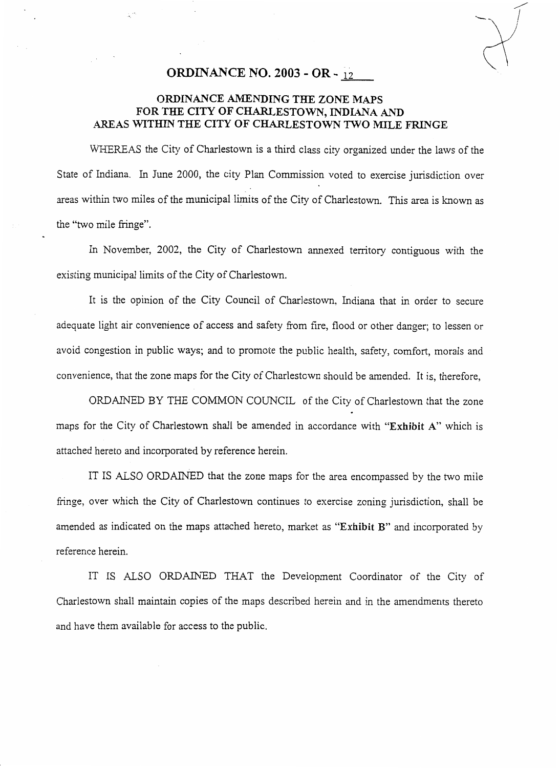## **ORDINANCE NO. 2003 OR** - 12

## **ORDINANCE AMENDING THE ZONE** *MAPS*  **FOR THE CITY OF CHARLESTOWN, INDIANA AND AREAS WITHIN THE CITY OF CHARLESTOWN TWO MILE FRINGE**

WHEREAS the City of Charlestown is a third class city organized under the laws of the State of Indiana. In June 2000, the city Plan Commission voted to exercise jurisdiction over areas within two miles of the municipal limits of the City of Charlestown. This area is known as the "two mile fringe".

In November, 2002, the City of Charlestown annexed territory contiguous with the existing municipal limits of the City of Charlestown.

It is the opinion of the City Council of Charlestown, Indiana that in order to secure adequate light air convenience of access and safety from fire, flood or other danger; to lessen or avoid congestion in public ways; and to promote the public health, safety, comfort, morals and convenience, that the zone maps for the City of Charlestown should be amended. It is, therefore,

ORDAINED BY THE COMMON COUNCIL of the City of Charlestown that the zone maps for the City of Charlestown shall be amended in accordance with **"Exhibit A"** which is attached hereto and incorporated by reference herein.

IT IS ALSO ORDAINED that the zone maps for the area encompassed by the two mile fringe, over which the City of Charlestown continues to exercise zoning jurisdiction, shall be amended as indicated on the maps attached hereto, market as **"Exhibit B"** and incorporated by reference herein.

IT IS ALSO ORDAINED THAT the Development Coordinator of the City of Charlestown shall maintain copies of the maps described herein and in the amendments thereto and have them available for access to the public.